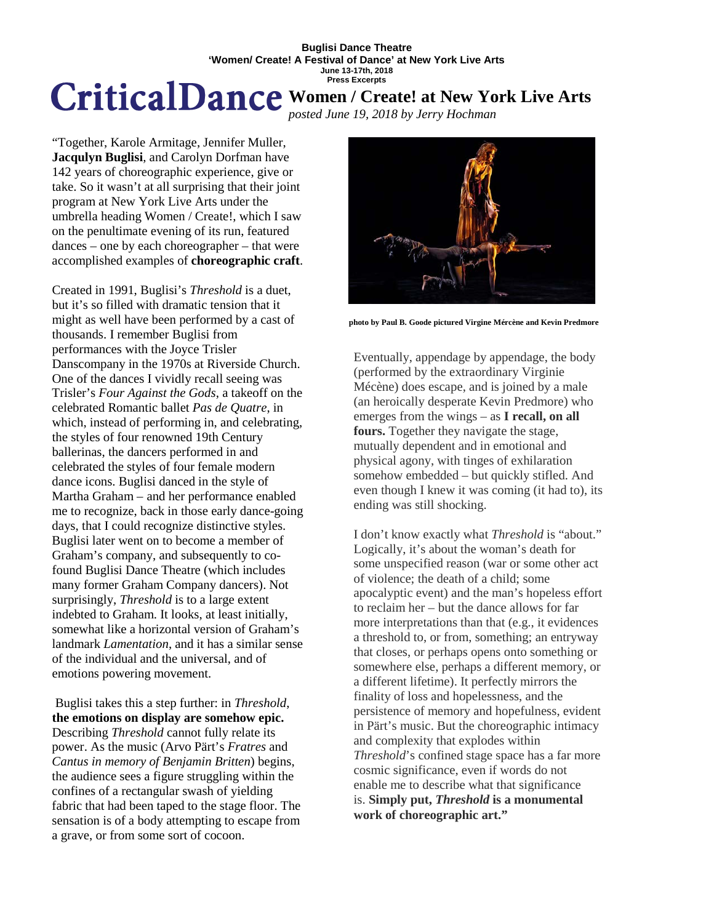### **Buglisi Dance Theatre 'Women/ Create! A Festival of Dance' at New York Live Arts June 13-17th, 2018 Press Excerpts**

# **Women / Create! at New York Live Arts**

*posted June 19, 2018 by Jerry Hochman*

"Together, Karole Armitage, Jennifer Muller, **Jacqulyn Buglisi**, and Carolyn Dorfman have 142 years of choreographic experience, give or take. So it wasn't at all surprising that their joint program at New York Live Arts under the umbrella heading Women / Create!, which I saw on the penultimate evening of its run, featured dances – one by each choreographer – that were accomplished examples of **choreographic craft**.

Created in 1991, Buglisi's *Threshold* is a duet, but it's so filled with dramatic tension that it might as well have been performed by a cast of thousands. I remember Buglisi from performances with the Joyce Trisler Danscompany in the 1970s at Riverside Church. One of the dances I vividly recall seeing was Trisler's *Four Against the Gods*, a takeoff on the celebrated Romantic ballet *Pas de Quatre*, in which, instead of performing in, and celebrating, the styles of four renowned 19th Century ballerinas, the dancers performed in and celebrated the styles of four female modern dance icons. Buglisi danced in the style of Martha Graham – and her performance enabled me to recognize, back in those early dance-going days, that I could recognize distinctive styles. Buglisi later went on to become a member of Graham's company, and subsequently to cofound Buglisi Dance Theatre (which includes many former Graham Company dancers). Not surprisingly, *Threshold* is to a large extent indebted to Graham. It looks, at least initially, somewhat like a horizontal version of Graham's landmark *Lamentation*, and it has a similar sense of the individual and the universal, and of emotions powering movement.

Buglisi takes this a step further: in *Threshold*, **the emotions on display are somehow epic.** Describing *Threshold* cannot fully relate its power. As the music (Arvo Pärt's *Fratres* and *Cantus in memory of Benjamin Britten*) begins, the audience sees a figure struggling within the confines of a rectangular swash of yielding fabric that had been taped to the stage floor. The sensation is of a body attempting to escape from a grave, or from some sort of cocoon.



**photo by Paul B. Goode pictured Virgine Mércène and Kevin Predmore**

Eventually, appendage by appendage, the body (performed by the extraordinary Virginie Mécène) does escape, and is joined by a male (an heroically desperate Kevin Predmore) who emerges from the wings – as **I recall, on all fours.** Together they navigate the stage, mutually dependent and in emotional and physical agony, with tinges of exhilaration somehow embedded – but quickly stifled. And even though I knew it was coming (it had to), its ending was still shocking.

I don't know exactly what *Threshold* is "about." Logically, it's about the woman's death for some unspecified reason (war or some other act of violence; the death of a child; some apocalyptic event) and the man's hopeless effort to reclaim her – but the dance allows for far more interpretations than that (e.g., it evidences a threshold to, or from, something; an entryway that closes, or perhaps opens onto something or somewhere else, perhaps a different memory, or a different lifetime). It perfectly mirrors the finality of loss and hopelessness, and the persistence of memory and hopefulness, evident in Pärt's music. But the choreographic intimacy and complexity that explodes within *Threshold*'s confined stage space has a far more cosmic significance, even if words do not enable me to describe what that significance is. **Simply put,** *Threshold* **is a monumental work of choreographic art."**